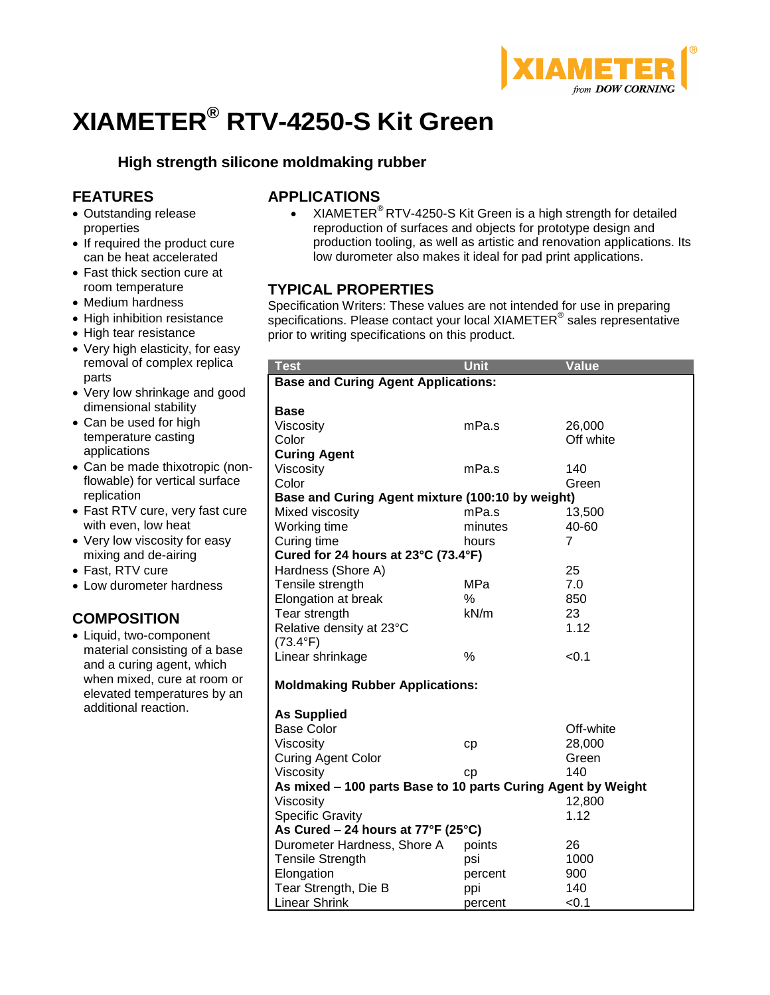

# **XIAMETER® RTV-4250-S Kit Green**

# **High strength silicone moldmaking rubber**

# **FEATURES**

- Outstanding release properties
- If required the product cure can be heat accelerated
- Fast thick section cure at room temperature
- Medium hardness
- High inhibition resistance
- High tear resistance
- Very high elasticity, for easy removal of complex replica parts
- Very low shrinkage and good dimensional stability
- Can be used for high temperature casting applications
- Can be made thixotropic (nonflowable) for vertical surface replication
- Fast RTV cure, very fast cure with even, low heat
- Very low viscosity for easy mixing and de-airing
- Fast, RTV cure
- Low durometer hardness

# **COMPOSITION**

 Liquid, two-component material consisting of a base and a curing agent, which when mixed, cure at room or elevated temperatures by an additional reaction.

# **APPLICATIONS**

 $XIAMETER<sup>®</sup> RTV-4250-S Kit Green is a high strength for detailed$ reproduction of surfaces and objects for prototype design and production tooling, as well as artistic and renovation applications. Its low durometer also makes it ideal for pad print applications.

## **TYPICAL PROPERTIES**

Specification Writers: These values are not intended for use in preparing specifications. Please contact your local XIAMETER® sales representative prior to writing specifications on this product.

| <b>Test</b>                                                  | <b>Unit</b> | Value     |  |  |  |
|--------------------------------------------------------------|-------------|-----------|--|--|--|
| <b>Base and Curing Agent Applications:</b>                   |             |           |  |  |  |
|                                                              |             |           |  |  |  |
| <b>Base</b>                                                  |             |           |  |  |  |
| Viscosity                                                    | mPa.s       | 26,000    |  |  |  |
| Color                                                        |             | Off white |  |  |  |
| <b>Curing Agent</b>                                          |             |           |  |  |  |
| Viscosity                                                    | mPa.s       | 140       |  |  |  |
| Color                                                        |             | Green     |  |  |  |
| Base and Curing Agent mixture (100:10 by weight)             |             |           |  |  |  |
| Mixed viscosity                                              | mPa.s       | 13,500    |  |  |  |
| Working time                                                 | minutes     | 40-60     |  |  |  |
| Curing time                                                  | hours       | 7         |  |  |  |
| Cured for 24 hours at 23°C (73.4°F)                          |             |           |  |  |  |
| Hardness (Shore A)                                           |             | 25        |  |  |  |
| Tensile strength                                             | MPa         | 7.0       |  |  |  |
| Elongation at break                                          | $\%$        | 850       |  |  |  |
| Tear strength                                                | kN/m        | 23        |  |  |  |
| Relative density at 23°C                                     |             | 1.12      |  |  |  |
| $(73.4^{\circ}F)$                                            |             |           |  |  |  |
| Linear shrinkage                                             | %           | < 0.1     |  |  |  |
| <b>Moldmaking Rubber Applications:</b>                       |             |           |  |  |  |
|                                                              |             |           |  |  |  |
| <b>As Supplied</b>                                           |             |           |  |  |  |
| <b>Base Color</b>                                            |             | Off-white |  |  |  |
| Viscosity                                                    | cp          | 28,000    |  |  |  |
| <b>Curing Agent Color</b>                                    |             | Green     |  |  |  |
| Viscosity                                                    | cp          | 140       |  |  |  |
| As mixed - 100 parts Base to 10 parts Curing Agent by Weight |             |           |  |  |  |
| Viscosity                                                    |             | 12,800    |  |  |  |
| <b>Specific Gravity</b>                                      |             | 1.12      |  |  |  |
| As Cured – 24 hours at $77^{\circ}F(25^{\circ}C)$            |             |           |  |  |  |
| Durometer Hardness, Shore A                                  | points      | 26        |  |  |  |
| <b>Tensile Strength</b>                                      | psi         | 1000      |  |  |  |
| Elongation                                                   | percent     | 900       |  |  |  |
| Tear Strength, Die B                                         | ppi         | 140       |  |  |  |
| <b>Linear Shrink</b>                                         | percent     | < 0.1     |  |  |  |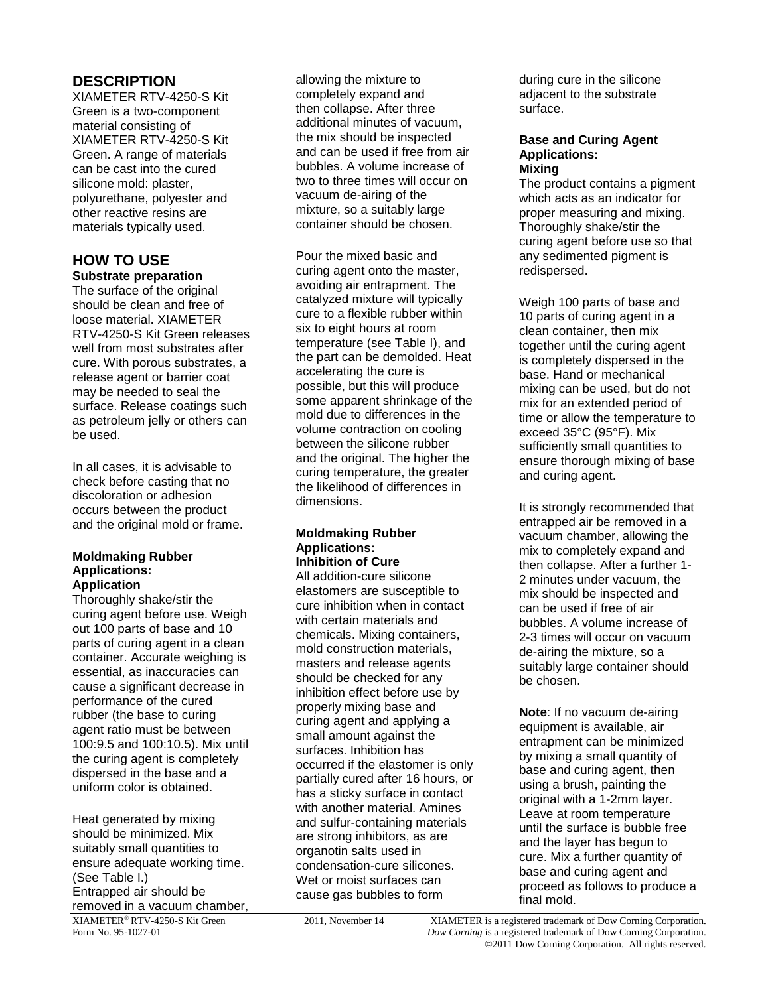# **DESCRIPTION**

XIAMETER RTV-4250-S Kit Green is a two-component material consisting of XIAMETER RTV-4250-S Kit Green. A range of materials can be cast into the cured silicone mold: plaster, polyurethane, polyester and other reactive resins are materials typically used.

## **HOW TO USE Substrate preparation**

The surface of the original should be clean and free of loose material. XIAMETER RTV-4250-S Kit Green releases well from most substrates after cure. With porous substrates, a release agent or barrier coat may be needed to seal the surface. Release coatings such as petroleum jelly or others can be used.

In all cases, it is advisable to check before casting that no discoloration or adhesion occurs between the product and the original mold or frame.

#### **Moldmaking Rubber Applications: Application**

Thoroughly shake/stir the curing agent before use. Weigh out 100 parts of base and 10 parts of curing agent in a clean container. Accurate weighing is essential, as inaccuracies can cause a significant decrease in performance of the cured rubber (the base to curing agent ratio must be between 100:9.5 and 100:10.5). Mix until the curing agent is completely dispersed in the base and a uniform color is obtained.

Heat generated by mixing should be minimized. Mix suitably small quantities to ensure adequate working time. (See Table I.) Entrapped air should be removed in a vacuum chamber,

allowing the mixture to completely expand and then collapse. After three additional minutes of vacuum, the mix should be inspected and can be used if free from air bubbles. A volume increase of two to three times will occur on vacuum de-airing of the mixture, so a suitably large container should be chosen.

Pour the mixed basic and curing agent onto the master, avoiding air entrapment. The catalyzed mixture will typically cure to a flexible rubber within six to eight hours at room temperature (see Table I), and the part can be demolded. Heat accelerating the cure is possible, but this will produce some apparent shrinkage of the mold due to differences in the volume contraction on cooling between the silicone rubber and the original. The higher the curing temperature, the greater the likelihood of differences in dimensions.

#### **Moldmaking Rubber Applications: Inhibition of Cure**

All addition-cure silicone elastomers are susceptible to cure inhibition when in contact with certain materials and chemicals. Mixing containers, mold construction materials, masters and release agents should be checked for any inhibition effect before use by properly mixing base and curing agent and applying a small amount against the surfaces. Inhibition has occurred if the elastomer is only partially cured after 16 hours, or has a sticky surface in contact with another material. Amines and sulfur-containing materials are strong inhibitors, as are organotin salts used in condensation-cure silicones. Wet or moist surfaces can cause gas bubbles to form

during cure in the silicone adjacent to the substrate surface.

#### **Base and Curing Agent Applications: Mixing**

The product contains a pigment which acts as an indicator for proper measuring and mixing. Thoroughly shake/stir the curing agent before use so that any sedimented pigment is redispersed.

Weigh 100 parts of base and 10 parts of curing agent in a clean container, then mix together until the curing agent is completely dispersed in the base. Hand or mechanical mixing can be used, but do not mix for an extended period of time or allow the temperature to exceed 35°C (95°F). Mix sufficiently small quantities to ensure thorough mixing of base and curing agent.

It is strongly recommended that entrapped air be removed in a vacuum chamber, allowing the mix to completely expand and then collapse. After a further 1- 2 minutes under vacuum, the mix should be inspected and can be used if free of air bubbles. A volume increase of 2-3 times will occur on vacuum de-airing the mixture, so a suitably large container should be chosen.

**Note**: If no vacuum de-airing equipment is available, air entrapment can be minimized by mixing a small quantity of base and curing agent, then using a brush, painting the original with a 1-2mm layer. Leave at room temperature until the surface is bubble free and the layer has begun to cure. Mix a further quantity of base and curing agent and proceed as follows to produce a final mold.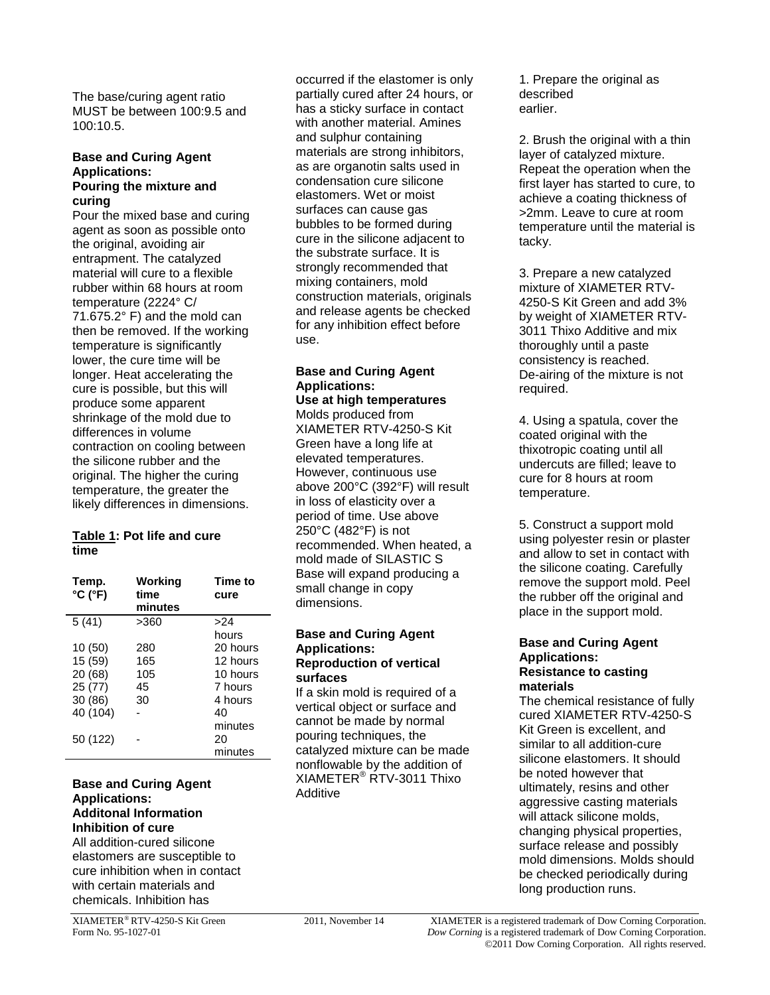The base/curing agent ratio MUST be between 100:9.5 and 100:10.5.

#### **Base and Curing Agent Applications: Pouring the mixture and curing**

Pour the mixed base and curing agent as soon as possible onto the original, avoiding air entrapment. The catalyzed material will cure to a flexible rubber within 68 hours at room temperature (2224° C/ 71.675.2° F) and the mold can then be removed. If the working temperature is significantly lower, the cure time will be longer. Heat accelerating the cure is possible, but this will produce some apparent shrinkage of the mold due to differences in volume contraction on cooling between the silicone rubber and the original. The higher the curing temperature, the greater the likely differences in dimensions.

#### **Table 1: Pot life and cure time**

| Temp.<br>$^{\circ}$ C ( $^{\circ}$ F) | Working<br>time<br>minutes | Time to<br>cure |
|---------------------------------------|----------------------------|-----------------|
| 5(41)                                 | >360                       | >24             |
|                                       |                            | hours           |
| 10(50)                                | 280                        | 20 hours        |
| 15 (59)                               | 165                        | 12 hours        |
| 20 (68)                               | 105                        | 10 hours        |
| 25 (77)                               | 45                         | 7 hours         |
| 30 (86)                               | 30                         | 4 hours         |
| 40 (104)                              |                            | 40              |
|                                       |                            | minutes         |
| 50 (122)                              |                            | 20              |
|                                       |                            | minutes         |

## **Base and Curing Agent Applications: Additonal Information Inhibition of cure**

All addition-cured silicone elastomers are susceptible to cure inhibition when in contact with certain materials and chemicals. Inhibition has

occurred if the elastomer is only partially cured after 24 hours, or has a sticky surface in contact with another material. Amines and sulphur containing materials are strong inhibitors, as are organotin salts used in condensation cure silicone elastomers. Wet or moist surfaces can cause gas bubbles to be formed during cure in the silicone adjacent to the substrate surface. It is strongly recommended that mixing containers, mold construction materials, originals and release agents be checked for any inhibition effect before use.

#### **Base and Curing Agent Applications: Use at high temperatures**

Molds produced from XIAMETER RTV-4250-S Kit Green have a long life at elevated temperatures. However, continuous use above 200°C (392°F) will result in loss of elasticity over a period of time. Use above 250°C (482°F) is not recommended. When heated, a mold made of SILASTIC S Base will expand producing a small change in copy dimensions.

#### **Base and Curing Agent Applications: Reproduction of vertical surfaces**

If a skin mold is required of a vertical object or surface and cannot be made by normal pouring techniques, the catalyzed mixture can be made nonflowable by the addition of XIAMETER® RTV-3011 Thixo Additive

1. Prepare the original as described earlier.

2. Brush the original with a thin layer of catalyzed mixture. Repeat the operation when the first layer has started to cure, to achieve a coating thickness of >2mm. Leave to cure at room temperature until the material is tacky.

3. Prepare a new catalyzed mixture of XIAMETER RTV-4250-S Kit Green and add 3% by weight of XIAMETER RTV-3011 Thixo Additive and mix thoroughly until a paste consistency is reached. De-airing of the mixture is not required.

4. Using a spatula, cover the coated original with the thixotropic coating until all undercuts are filled; leave to cure for 8 hours at room temperature.

5. Construct a support mold using polyester resin or plaster and allow to set in contact with the silicone coating. Carefully remove the support mold. Peel the rubber off the original and place in the support mold.

#### **Base and Curing Agent Applications: Resistance to casting materials**

The chemical resistance of fully cured XIAMETER RTV-4250-S Kit Green is excellent, and similar to all addition-cure silicone elastomers. It should be noted however that ultimately, resins and other aggressive casting materials will attack silicone molds, changing physical properties, surface release and possibly mold dimensions. Molds should be checked periodically during long production runs.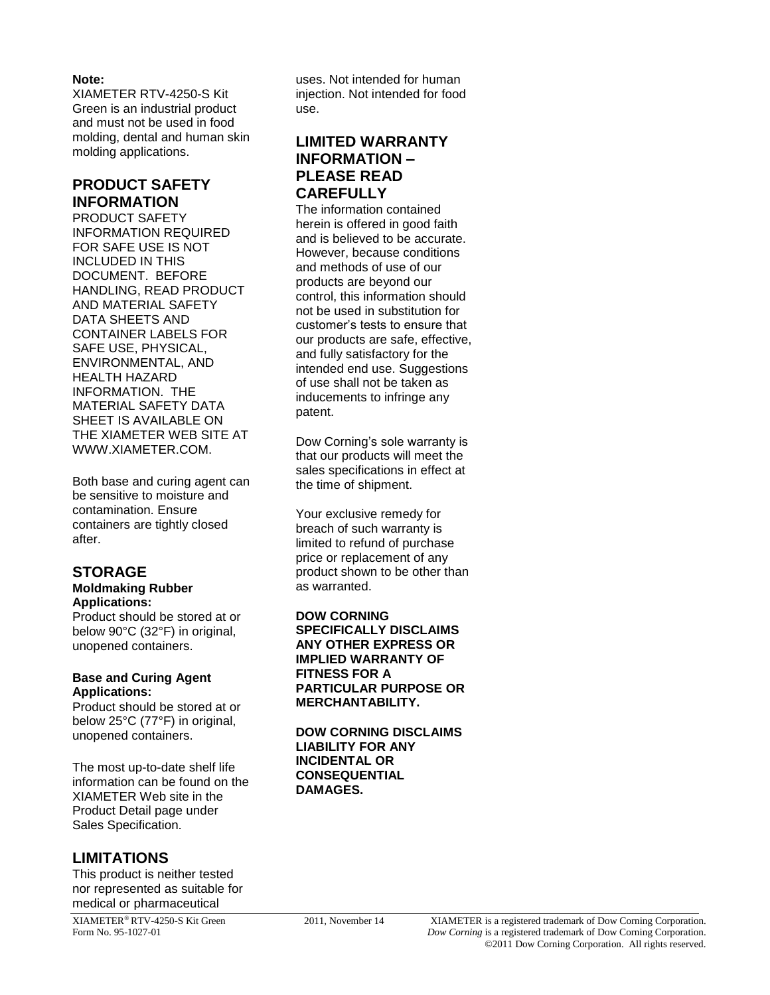## **Note:**

XIAMETER RTV-4250-S Kit Green is an industrial product and must not be used in food molding, dental and human skin molding applications.

## **PRODUCT SAFETY INFORMATION**

PRODUCT SAFETY INFORMATION REQUIRED FOR SAFE USE IS NOT INCLUDED IN THIS DOCUMENT. BEFORE HANDLING, READ PRODUCT AND MATERIAL SAFETY DATA SHEETS AND CONTAINER LABELS FOR SAFE USE, PHYSICAL, ENVIRONMENTAL, AND HEALTH HAZARD INFORMATION. THE MATERIAL SAFETY DATA SHEET IS AVAILABLE ON THE XIAMETER WEB SITE AT WWW[.XIAMETER.COM.](http://www.xiameter.com/)

Both base and curing agent can be sensitive to moisture and contamination. Ensure containers are tightly closed after.

# **STORAGE**

#### **Moldmaking Rubber Applications:**

Product should be stored at or below 90°C (32°F) in original, unopened containers.

#### **Base and Curing Agent Applications:**

Product should be stored at or below 25°C (77°F) in original, unopened containers.

The most up-to-date shelf life information can be found on the XIAMETER Web site in the Product Detail page under Sales Specification.

# **LIMITATIONS**

This product is neither tested nor represented as suitable for medical or pharmaceutical

uses. Not intended for human injection. Not intended for food use.

## **LIMITED WARRANTY INFORMATION – PLEASE READ CAREFULLY**

The information contained herein is offered in good faith and is believed to be accurate. However, because conditions and methods of use of our products are beyond our control, this information should not be used in substitution for customer's tests to ensure that our products are safe, effective, and fully satisfactory for the intended end use. Suggestions of use shall not be taken as inducements to infringe any patent.

Dow Corning's sole warranty is that our products will meet the sales specifications in effect at the time of shipment.

Your exclusive remedy for breach of such warranty is limited to refund of purchase price or replacement of any product shown to be other than as warranted.

### **DOW CORNING**

**SPECIFICALLY DISCLAIMS ANY OTHER EXPRESS OR IMPLIED WARRANTY OF FITNESS FOR A PARTICULAR PURPOSE OR MERCHANTABILITY.**

**DOW CORNING DISCLAIMS LIABILITY FOR ANY INCIDENTAL OR CONSEQUENTIAL DAMAGES.**